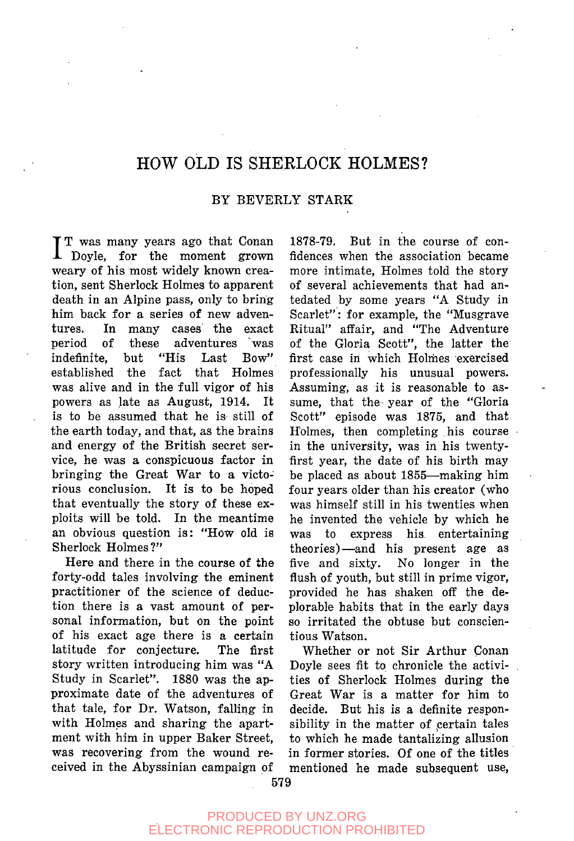## HOW OLD IS SHERLOCK HOLMES?

## BY BEVERLY STARK

IT was many years ago that Conan<br>
Doyle, for the moment grown Doyle, for the moment grown weary of his most widely known creation, sent Sherlock Holmes to apparent death in an Alpine pass, only to bring him back for a series of new adventures. In many cases the exact period of these adventures was indefinite, but "His Last Bow" established the fact that Holmes was alive and in the full vigor of his powers as late as August, 1914. It is to be assumed that he is still of the earth today, and that, as the brains and energy of the British secret service, he was a conspicuous factor in bringing the Great War to a victorious conclusion. It is to be hoped that eventually the story of these exploits will be told. In the meantime an obvious question is: "How old is Sherlock Holmes?"

Here and there in the course of the forty-odd tales involving the eminent practitioner of the science of deduction there is a vast amount of personal information, but on the point of his exact age there is a certain latitude for conjecture. The first story written introducing him was "A Study in Scarlet". 1880 was the approximate date of the adventures of that tale, for Dr. Watson, falling in with Holmes and sharing the apartment with him in upper Baker Street, was recovering from the wound received in the Abyssinian campaign of

1878-79. But in the course of confidences when the association became more intimate. Holmes told the story of several achievements that had antedated by some years "A Study in Scarlet": for example, the "Musgrave Ritual" affair, and "The Adventure of the Gloria Scott", the latter the first case in which Holmes exercised professionally his unusual powers. Assuming, as it is reasonable to assume, that the- year of the "Gloria Scott" episode was 1875, and that Holmes, then completing his course in the university, was in his twentyfirst year, the date of his birth may be placed as about 1855—making him four years older than his creator (who was himself still in his twenties when he invented the vehicle by which he was to express his entertaining theories)—and his present age as five and sixty. No longer in the flush of youth, but still in prime vigor, provided he has shaken off the deplorable habits that in the early days so irritated the obtuse but conscientious Watson.

Whether or not Sir Arthur Conan Doyle sees fit to chronicle the activities of Sherlock Holmes during the Great War is a matter for him to decide. But his is a definite responsibility in the matter of certain tales to which he made tantalizing allusion in former stories. Of one of the titles mentioned he made subsequent use,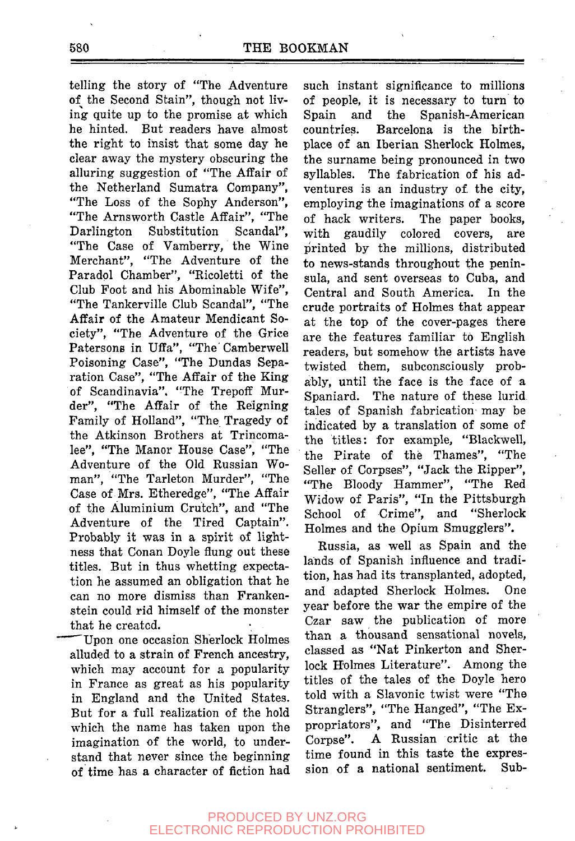telling the story of "The Adventure of the Second Stain", though not living quite up to the promise at which he hinted. But readers have almost the right to insist that some day he clear away the mystery obscuring the alluring suggestion of "The Affair of the Netherland Sumatra Company", "The Loss of the Sophy Anderson", "The Arnsworth Castle Affair", "The Darlington Substitution Scandal", "The Case of Vamberry, the Wine Merchant", "The Adventure of the Paradol Chamber", "Ricoletti of the Club Foot and his Abominable Wife", "The Tankerville Club Scandal", "The Affair of the Amateur Mendicant Society", "The Adventure of the Grice Patersons in Uffa", "The' Camberwell Poisoning Case", "The Dundas Separation Case", "The Affair of the King of Scandinavia". "The Trepoff Murder", "The Affair of the Reigning Family of Holland", "The Tragedy of the Atkinson Brothers at Trincomalee", "The Manor House Case", "The Adventure of the Old Russian Woman", "The Tarleton Murder", "The Case of Mrs. Etheredge", "The Affair of the Aluminium Crutch", and "The Adventure of the Tired Captain". Probably it was in a spirit of lightness that Conan Doyle flung out these titles. But in thus whetting expectation he assumed an obligation that he can no more dismiss than Frankenstein could rid himself of the monster that he created.

Upon one occasion Sherlock Holmes alluded to a strain of French ancestry, which may account for a popularity in France as great as his popularity in England and the United States. But for a full realization of the hold which the name has taken upon the imagination of the world, to understand that never since the beginning of time has a character of fiction had such instant significance to millions of people, it is necessary to turn to Spain and the Spanish-American countries. Barcelona is the birthplace of an Iberian Sherlock Holmes, the surname being pronounced in two syllables. The fabrication of his adventures is an industry of the city, employing the imaginations of a score of hack writers. The paper books, with gaudily colored covers, are printed by the millions, distributed to news-stands throughout the peninsula, and sent overseas to Cuba, and Central and South America. In the crude portraits of Holmes that appear at the top of the cover-pages there are the features familiar to English readers, but somehow the artists have twisted them, subconsciously probably, until the face is the face of a Spaniard. The nature of these lurid tales of Spanish fabrication may be indicated by a translation of some of the titles: for example, "Blackwell, the Pirate of the Thames", "The Seller of Corpses", "Jack the Ripper", "The Bloody Hammer", "The Red Widow of Paris", "In the Pittsburgh School of Crime", and "Sherlock Holmes and the Opium Smugglers".

Russia, as well as Spain and the lands of Spanish influence and tradition, has had its transplanted, adopted, and adapted Sherlock Holmes. One year before the war the empire of the Czar saw the publication of more than a thousand sensational novels, classed as "Nat Pinkerton and Sherlock Holmes Literature". Among the titles of the tales of the Doyle hero told with a Slavonic twist were "The Stranglers", "The Hanged", "The Expropriators", and "The Disinterred Corpse". A Russian critic at the time found in this taste the expression of a national sentiment. Sub-

## PRODUCED BY UNZ.ORG ELECTRONIC REPRODUCTION PROHIBITED